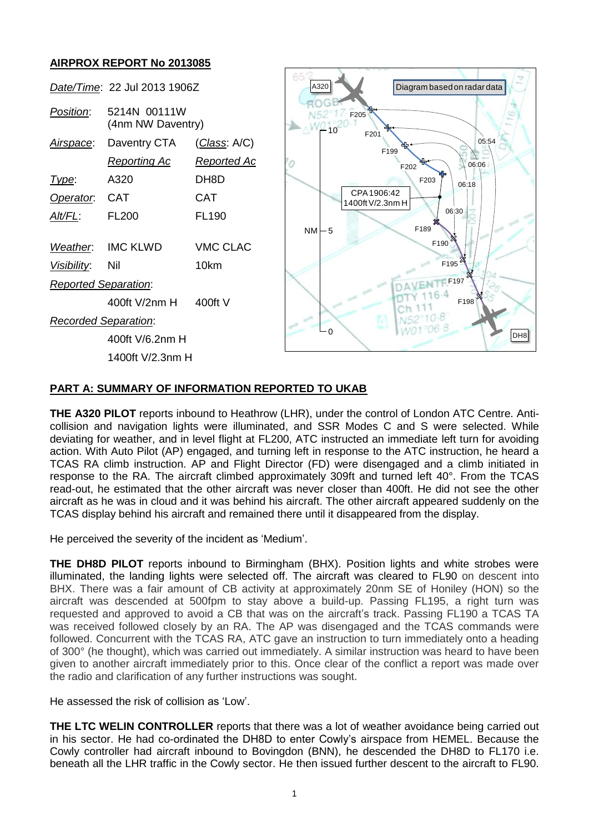# **AIRPROX REPORT No 2013085**



### **PART A: SUMMARY OF INFORMATION REPORTED TO UKAB**

**THE A320 PILOT** reports inbound to Heathrow (LHR), under the control of London ATC Centre. Anticollision and navigation lights were illuminated, and SSR Modes C and S were selected. While deviating for weather, and in level flight at FL200, ATC instructed an immediate left turn for avoiding action. With Auto Pilot (AP) engaged, and turning left in response to the ATC instruction, he heard a TCAS RA climb instruction. AP and Flight Director (FD) were disengaged and a climb initiated in response to the RA. The aircraft climbed approximately 309ft and turned left 40°. From the TCAS read-out, he estimated that the other aircraft was never closer than 400ft. He did not see the other aircraft as he was in cloud and it was behind his aircraft. The other aircraft appeared suddenly on the TCAS display behind his aircraft and remained there until it disappeared from the display.

He perceived the severity of the incident as 'Medium'.

**THE DH8D PILOT** reports inbound to Birmingham (BHX). Position lights and white strobes were illuminated, the landing lights were selected off. The aircraft was cleared to FL90 on descent into BHX. There was a fair amount of CB activity at approximately 20nm SE of Honiley (HON) so the aircraft was descended at 500fpm to stay above a build-up. Passing FL195, a right turn was requested and approved to avoid a CB that was on the aircraft's track. Passing FL190 a TCAS TA was received followed closely by an RA. The AP was disengaged and the TCAS commands were followed. Concurrent with the TCAS RA, ATC gave an instruction to turn immediately onto a heading of 300° (he thought), which was carried out immediately. A similar instruction was heard to have been given to another aircraft immediately prior to this. Once clear of the conflict a report was made over the radio and clarification of any further instructions was sought.

He assessed the risk of collision as 'Low'.

**THE LTC WELIN CONTROLLER** reports that there was a lot of weather avoidance being carried out in his sector. He had co-ordinated the DH8D to enter Cowly's airspace from HEMEL. Because the Cowly controller had aircraft inbound to Bovingdon (BNN), he descended the DH8D to FL170 i.e.<br>beneath all the LHR traffic in the Cowly sector. He then issued further descent to the aircraft to FL90.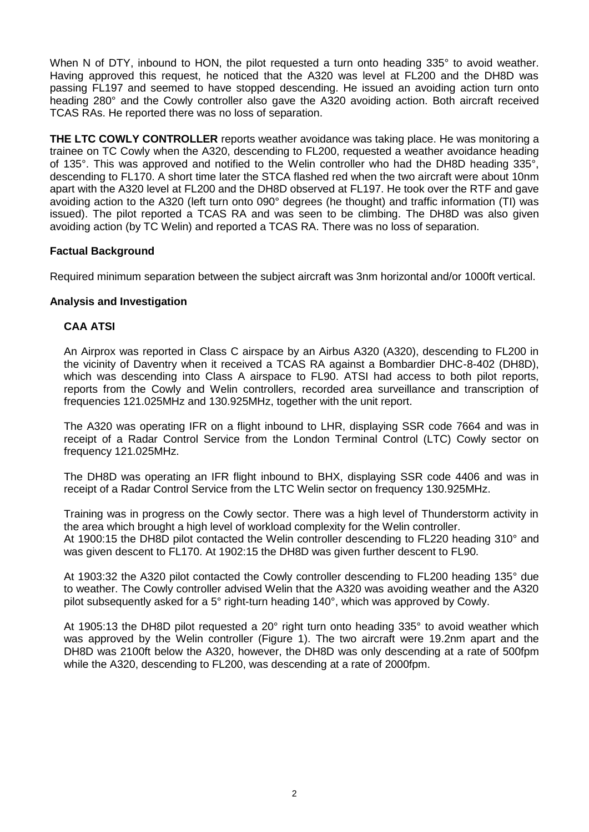When N of DTY, inbound to HON, the pilot requested a turn onto heading 335° to avoid weather. Having approved this request, he noticed that the A320 was level at FL200 and the DH8D was passing FL197 and seemed to have stopped descending. He issued an avoiding action turn onto heading 280° and the Cowly controller also gave the A320 avoiding action. Both aircraft received TCAS RAs. He reported there was no loss of separation.

**THE LTC COWLY CONTROLLER** reports weather avoidance was taking place. He was monitoring a trainee on TC Cowly when the A320, descending to FL200, requested a weather avoidance heading of 135°. This was approved and notified to the Welin controller who had the DH8D heading 335°, descending to FL170. A short time later the STCA flashed red when the two aircraft were about 10nm apart with the A320 level at FL200 and the DH8D observed at FL197. He took over the RTF and gave avoiding action to the A320 (left turn onto 090° degrees (he thought) and traffic information (TI) was issued). The pilot reported a TCAS RA and was seen to be climbing. The DH8D was also given avoiding action (by TC Welin) and reported a TCAS RA. There was no loss of separation.

# **Factual Background**

Required minimum separation between the subject aircraft was 3nm horizontal and/or 1000ft vertical.

## **Analysis and Investigation**

## **CAA ATSI**

An Airprox was reported in Class C airspace by an Airbus A320 (A320), descending to FL200 in the vicinity of Daventry when it received a TCAS RA against a Bombardier DHC-8-402 (DH8D), which was descending into Class A airspace to FL90. ATSI had access to both pilot reports, reports from the Cowly and Welin controllers, recorded area surveillance and transcription of frequencies 121.025MHz and 130.925MHz, together with the unit report.

The A320 was operating IFR on a flight inbound to LHR, displaying SSR code 7664 and was in receipt of a Radar Control Service from the London Terminal Control (LTC) Cowly sector on frequency 121.025MHz.

The DH8D was operating an IFR flight inbound to BHX, displaying SSR code 4406 and was in receipt of a Radar Control Service from the LTC Welin sector on frequency 130.925MHz.

Training was in progress on the Cowly sector. There was a high level of Thunderstorm activity in the area which brought a high level of workload complexity for the Welin controller. At 1900:15 the DH8D pilot contacted the Welin controller descending to FL220 heading 310° and was given descent to FL170. At 1902:15 the DH8D was given further descent to FL90.

At 1903:32 the A320 pilot contacted the Cowly controller descending to FL200 heading 135° due to weather. The Cowly controller advised Welin that the A320 was avoiding weather and the A320 pilot subsequently asked for a  $5^{\circ}$  right-turn heading 140 $^{\circ}$ , which was approved by Cowly.

At 1905:13 the DH8D pilot requested a 20° right turn onto heading 335° to avoid weather which was approved by the Welin controller (Figure 1). The two aircraft were 19.2nm apart and the DH8D was 2100ft below the A320, however, the DH8D was only descending at a rate of 500fpm while the A320, descending to FL200, was descending at a rate of 2000fpm.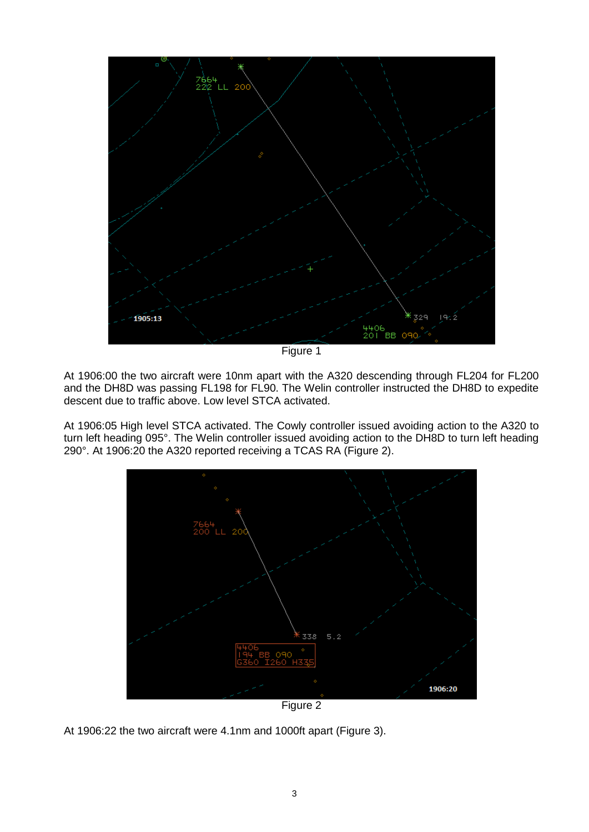

Figure 1

At 1906:00 the two aircraft were 10nm apart with the A320 descending through FL204 for FL200 and the DH8D was passing FL198 for FL90. The Welin controller instructed the DH8D to expedite descent due to traffic above. Low level STCA activated.

At 1906:05 High level STCA activated. The Cowly controller issued avoiding action to the A320 to turn left heading 095°. The Welin controller issued avoiding action to the DH8D to turn left heading 290°. At 1906:20 the A320 reported receiving a TCAS RA (Figure 2).



Figure 2

At 1906:22 the two aircraft were 4.1nm and 1000ft apart (Figure 3).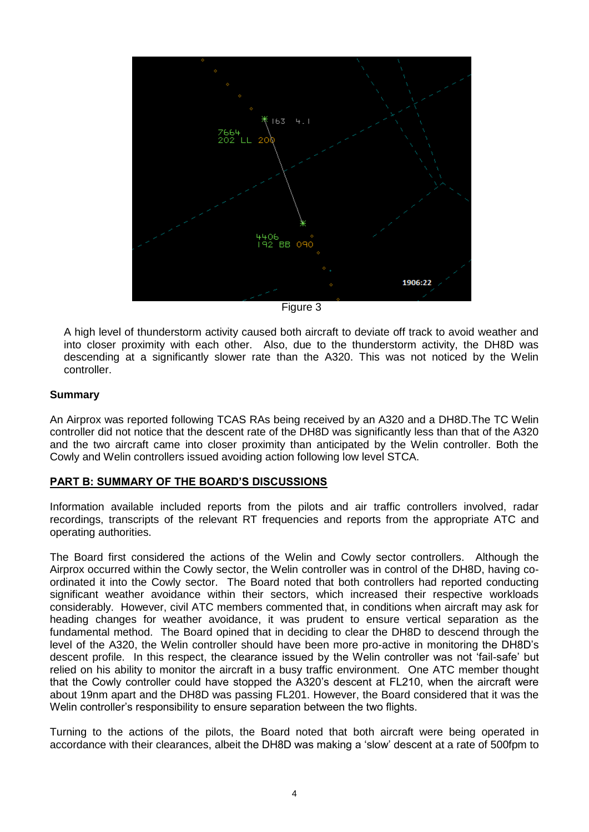

Figure 3

A high level of thunderstorm activity caused both aircraft to deviate off track to avoid weather and into closer proximity with each other. Also, due to the thunderstorm activity, the DH8D was descending at a significantly slower rate than the A320. This was not noticed by the Welin controller.

### **Summary**

An Airprox was reported following TCAS RAs being received by an A320 and a DH8D.The TC Welin controller did not notice that the descent rate of the DH8D was significantly less than that of the A320 and the two aircraft came into closer proximity than anticipated by the Welin controller. Both the Cowly and Welin controllers issued avoiding action following low level STCA.

#### **PART B: SUMMARY OF THE BOARD'S DISCUSSIONS**

Information available included reports from the pilots and air traffic controllers involved, radar recordings, transcripts of the relevant RT frequencies and reports from the appropriate ATC and operating authorities.

The Board first considered the actions of the Welin and Cowly sector controllers. Although the Airprox occurred within the Cowly sector, the Welin controller was in control of the DH8D, having coordinated it into the Cowly sector. The Board noted that both controllers had reported conducting significant weather avoidance within their sectors, which increased their respective workloads considerably. However, civil ATC members commented that, in conditions when aircraft may ask for heading changes for weather avoidance, it was prudent to ensure vertical separation as the fundamental method. The Board opined that in deciding to clear the DH8D to descend through the level of the A320, the Welin controller should have been more pro-active in monitoring the DH8D's descent profile. In this respect, the clearance issued by the Welin controller was not 'fail-safe' but relied on his ability to monitor the aircraft in a busy traffic environment. One ATC member thought that the Cowly controller could have stopped the A320's descent at FL210, when the aircraft were about 19nm apart and the DH8D was passing FL201. However, the Board considered that it was the Welin controller's responsibility to ensure separation between the two flights.

Turning to the actions of the pilots, the Board noted that both aircraft were being operated in accordance with their clearances, albeit the DH8D was making a 'slow' descent at a rate of 500fpm to